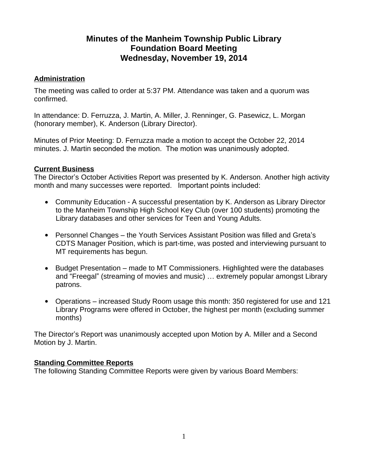# **Minutes of the Manheim Township Public Library Foundation Board Meeting Wednesday, November 19, 2014**

# **Administration**

The meeting was called to order at 5:37 PM. Attendance was taken and a quorum was confirmed.

In attendance: D. Ferruzza, J. Martin, A. Miller, J. Renninger, G. Pasewicz, L. Morgan (honorary member), K. Anderson (Library Director).

Minutes of Prior Meeting: D. Ferruzza made a motion to accept the October 22, 2014 minutes. J. Martin seconded the motion. The motion was unanimously adopted.

### **Current Business**

The Director's October Activities Report was presented by K. Anderson. Another high activity month and many successes were reported. Important points included:

- Community Education A successful presentation by K. Anderson as Library Director to the Manheim Township High School Key Club (over 100 students) promoting the Library databases and other services for Teen and Young Adults.
- Personnel Changes the Youth Services Assistant Position was filled and Greta's CDTS Manager Position, which is part-time, was posted and interviewing pursuant to MT requirements has begun.
- Budget Presentation made to MT Commissioners. Highlighted were the databases and "Freegal" (streaming of movies and music) … extremely popular amongst Library patrons.
- Operations increased Study Room usage this month: 350 registered for use and 121 Library Programs were offered in October, the highest per month (excluding summer months)

The Director's Report was unanimously accepted upon Motion by A. Miller and a Second Motion by J. Martin.

#### **Standing Committee Reports**

The following Standing Committee Reports were given by various Board Members: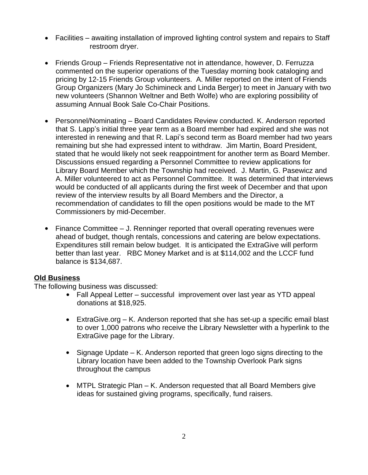- Facilities awaiting installation of improved lighting control system and repairs to Staff restroom dryer.
- Friends Group Friends Representative not in attendance, however, D. Ferruzza commented on the superior operations of the Tuesday morning book cataloging and pricing by 12-15 Friends Group volunteers. A. Miller reported on the intent of Friends Group Organizers (Mary Jo Schimineck and Linda Berger) to meet in January with two new volunteers (Shannon Weltner and Beth Wolfe) who are exploring possibility of assuming Annual Book Sale Co-Chair Positions.
- Personnel/Nominating Board Candidates Review conducted. K. Anderson reported that S. Lapp's initial three year term as a Board member had expired and she was not interested in renewing and that R. Lapi's second term as Board member had two years remaining but she had expressed intent to withdraw. Jim Martin, Board President, stated that he would likely not seek reappointment for another term as Board Member. Discussions ensued regarding a Personnel Committee to review applications for Library Board Member which the Township had received. J. Martin, G. Pasewicz and A. Miller volunteered to act as Personnel Committee. It was determined that interviews would be conducted of all applicants during the first week of December and that upon review of the interview results by all Board Members and the Director, a recommendation of candidates to fill the open positions would be made to the MT Commissioners by mid-December.
- Finance Committee J. Renninger reported that overall operating revenues were ahead of budget, though rentals, concessions and catering are below expectations. Expenditures still remain below budget. It is anticipated the ExtraGive will perform better than last year. RBC Money Market and is at \$114,002 and the LCCF fund balance is \$134,687.

# **Old Business**

The following business was discussed:

- Fall Appeal Letter successful improvement over last year as YTD appeal donations at \$18,925.
- ExtraGive.org K. Anderson reported that she has set-up a specific email blast to over 1,000 patrons who receive the Library Newsletter with a hyperlink to the ExtraGive page for the Library.
- Signage Update K. Anderson reported that green logo signs directing to the Library location have been added to the Township Overlook Park signs throughout the campus
- MTPL Strategic Plan K. Anderson requested that all Board Members give ideas for sustained giving programs, specifically, fund raisers.